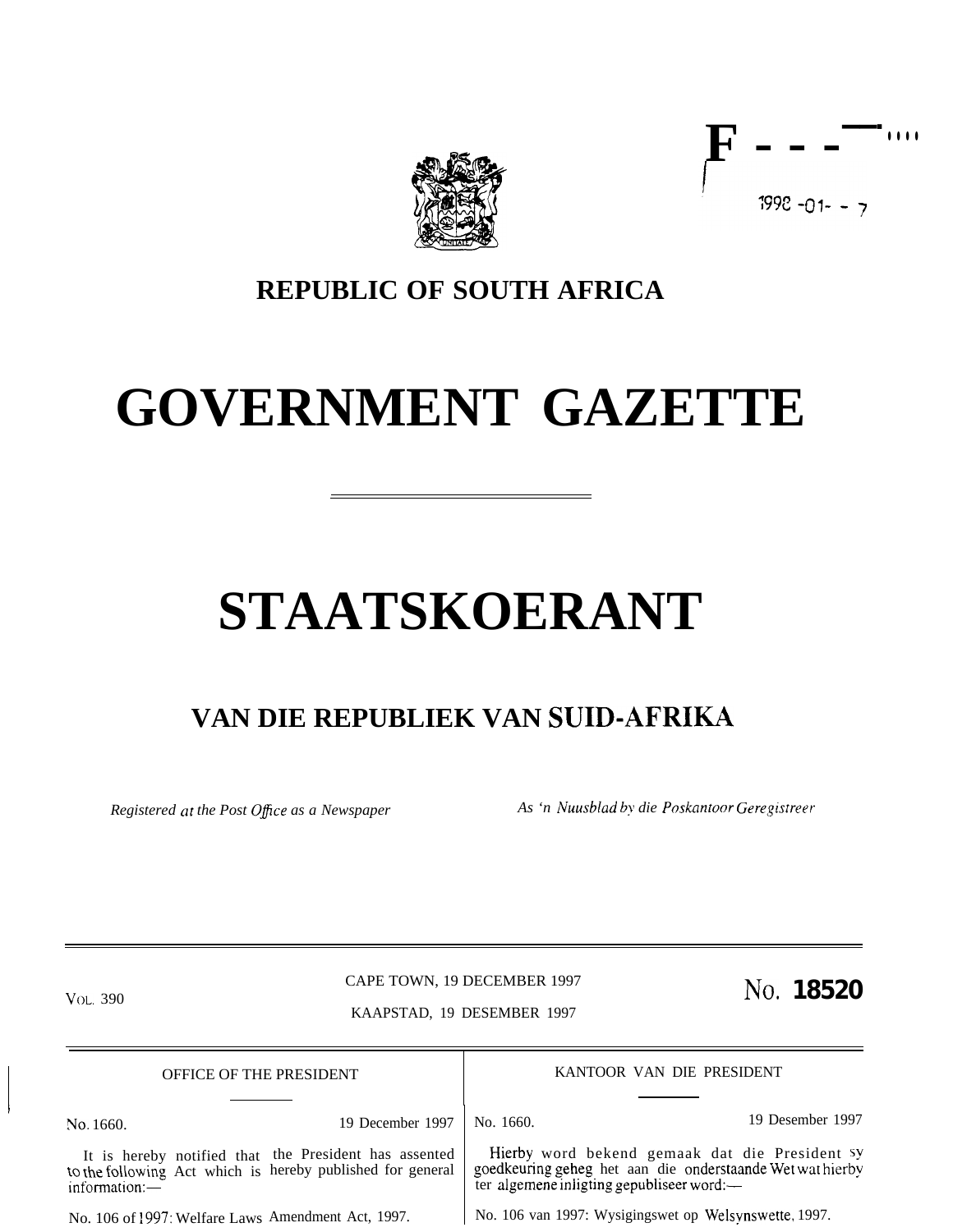

**F-- -——- . . . .**  $1992 - 01 - -7$ 

## **REPUBLIC OF SOUTH AFRICA**

# **GOVERNMENT GAZETTE**

# **STAATSKOERANT**

## **VAN DIE REPUBLIEK VAN SUID-AFRIKA**

*Registered at the Post O@ce as a Newspaper As 'n Nuusblad by die Poskmtoor Geregistreer*

No. 1660.

I

CAPE TOWN, 19 DECEMBER 1997 VOL. 390 **NO.** 18520 KAAPSTAD, 19 DESEMBER 1997

OFFICE OF THE PRESIDENT KANTOOR VAN DIE PRESIDENT

Hierby word bekend gemaak dat die President sy goedkeuring geheg het aan die onderstaande Wet wat hierby

19 December 1997 | No. 1660. 19 19 Desember 1997

It is hereby notified that the President has assented to the following Act which is hereby published for general information:—

No. 106 of 1997: Welfare Laws Amendment Act, 1997.

No. 106 van 1997: Wysigingswet op Welsynswette, 1997.

ter algemene iniigting gepubliseer word:—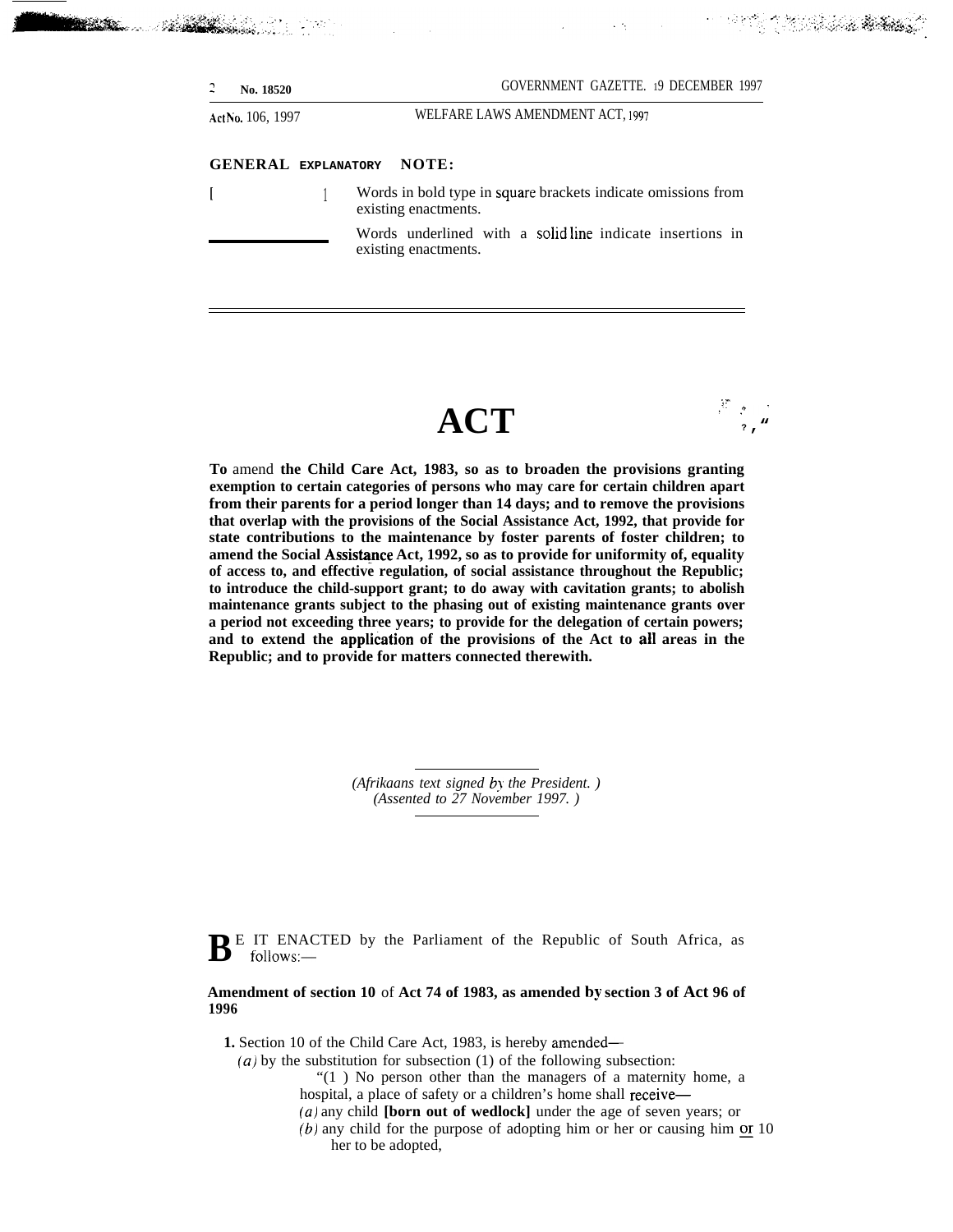existing enactments.

**Be**arte

*Nebisidae* Liver Live

Words underlined with a solid line indicate insertions in existing enactments.

## **ACT**

 $, \, \cdot, \, \cdot, \, \cdot$ **.,'+" ? ,"**

t it skoal krieg

**To** amend **the Child Care Act, 1983, so as to broaden the provisions granting exemption to certain categories of persons who may care for certain children apart from their parents for a period longer than 14 days; and to remove the provisions that overlap with the provisions of the Social Assistance Act, 1992, that provide for state contributions to the maintenance by foster parents of foster children; to** amend the Social Assistance Act, 1992, so as to provide for uniformity of, equality **of access to, and effective regulation, of social assistance throughout the Republic; to introduce the child-support grant; to do away with cavitation grants; to abolish maintenance grants subject to the phasing out of existing maintenance grants over a period not exceeding three years; to provide for the delegation of certain powers; and to extend the appli&tion of the provisions of the Act to all areas in the Republic; and to provide for matters connected therewith.**

> *(Afrikaans text signed by the President. ) (Assented to 27 November 1997. )*

 $\mathbf{B}$ <sup>E</sup> IT ENACTED by the Parliament of the Republic of South Africa, as follows: follows:—

#### **Amendment of section 10** of **Act 74 of 1983, as amended by section 3 of Act 96 of 1996**

**1.** Section 10 of the Child Care Act, 1983, is hereby amended—

*(a)* by the substitution for subsection (1) of the following subsection:

"(1 ) No person other than the managers of a maternity home, a hospital, a place of safety or a children's home shall receive—

- *(a)* any child **[born out of wedlock]** under the age of seven years; or
- $(b)$  any child for the purpose of adopting him or her or causing him or 10 her to be adopted,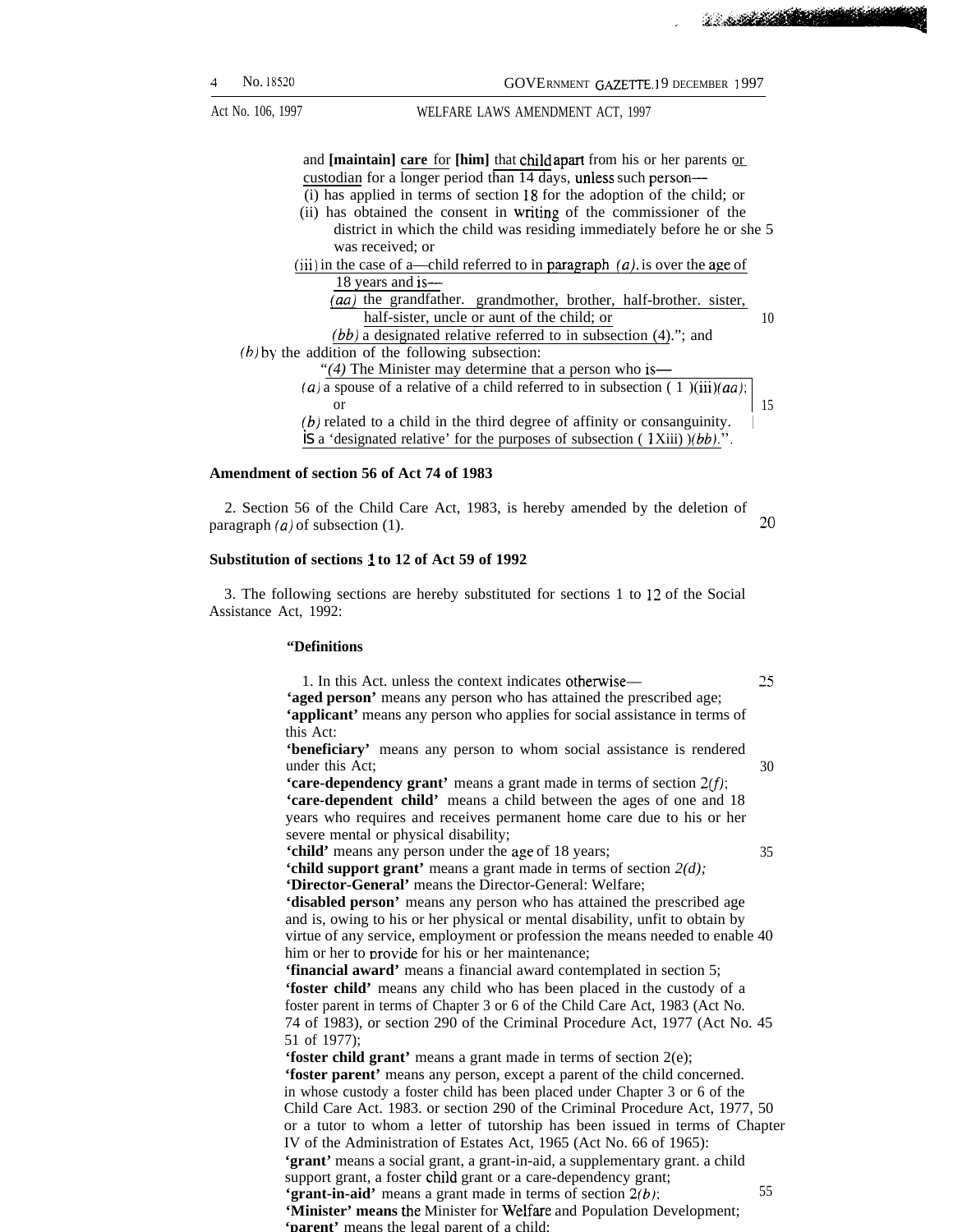.

**CONTRACTOR** 

Act No. 106, 1997 WELFARE LAWS AMENDMENT ACT, 1997

and **[maintain] care** for **[him]** that child apart from his or her parents or custodian for a longer period than 14 days, unless such person— (i) has applied in terms of section 18 for the adoption of the child; or (ii) has obtained the consent in wfiting of the commissioner of the district in which the child was residing immediately before he or she 5 was received; or (iii) in the case of a—child referred to in paragraph  $(a)$ , is over the age of 18 years and is— (aa) the grandfather. grandmother, brother, half-brother. sister, half-sister, uncle or aunt of the child; or 10  $(bb)$  a designated relative referred to in subsection  $(4)$ ."; and  $(b)$  by the addition of the following subsection: *"(4)* The Minister may determine that a person who is— (a) a spouse of a relative of a child referred to in subsection  $(1)(iii)(aa)$ ; or  $15$  $(b)$  related to a child in the third degree of affinity or consanguinity. is a 'designated relative' for the purposes of subsection  $(1Xiii)$   $/(bb)$ .".

#### **Amendment of section 56 of Act 74 of 1983**

2. Section 56 of the Child Care Act, 1983, is hereby amended by the deletion of  $\frac{1}{20}$  paragraph *(a)* of subsection (1).  $\frac{1}{20}$ 

#### **Substitution of sections 1 to 12 of Act 59 of 1992**

3. The following sections are hereby substituted for sections 1 to 12 of the Social Assistance Act, 1992:

#### **"Definitions**

1. In this Act. unless the context indicates otherwise— 25 **'aged person'** means any person who has attained the prescribed age; **'applicant'** means any person who applies for social assistance in terms of this Act:

**'beneficiary'** means any person to whom social assistance is rendered under this Act; 30

**'care-dependency grant'** means a grant made in terms of section  $2(f)$ ; **'care-dependent child'** means a child between the ages of one and 18 years who requires and receives permanent home care due to his or her severe mental or physical disability;

**'child'** means any person under the age of 18 years; 35

**'child support grant'** means a grant made in terms of section *2(d);* **'Director-General'** means the Director-General: Welfare; **'disabled person'** means any person who has attained the prescribed age

and is, owing to his or her physical or mental disability, unfit to obtain by virtue of any service, employment or profession the means needed to enable 40 him or her to provide for his or her maintenance;

**'financial award'** means a financial award contemplated in section 5; **'foster child'** means any child who has been placed in the custody of a foster parent in terms of Chapter 3 or 6 of the Child Care Act, 1983 (Act No. 74 of 1983), or section 290 of the Criminal Procedure Act, 1977 (Act No. 45 51 of 1977);

**'foster child grant'** means a grant made in terms of section  $2(e)$ ; **'foster parent'** means any person, except a parent of the child concerned. in whose custody a foster child has been placed under Chapter 3 or 6 of the Child Care Act. 1983. or section 290 of the Criminal Procedure Act, 1977, 50 or a tutor to whom a letter of tutorship has been issued in terms of Chapter IV of the Administration of Estates Act, 1965 (Act No. 66 of 1965): **'grant'** means a social grant, a grant-in-aid, a supplementary grant. a child support grant, a foster child grant or a care-dependency grant; **'grant-in-aid'** means a grant made in terms of section  $2(b)$ ; 55 **'Minister' means the** Minister for Welfare and Population Development; **'parent'** means the legal parent of a child;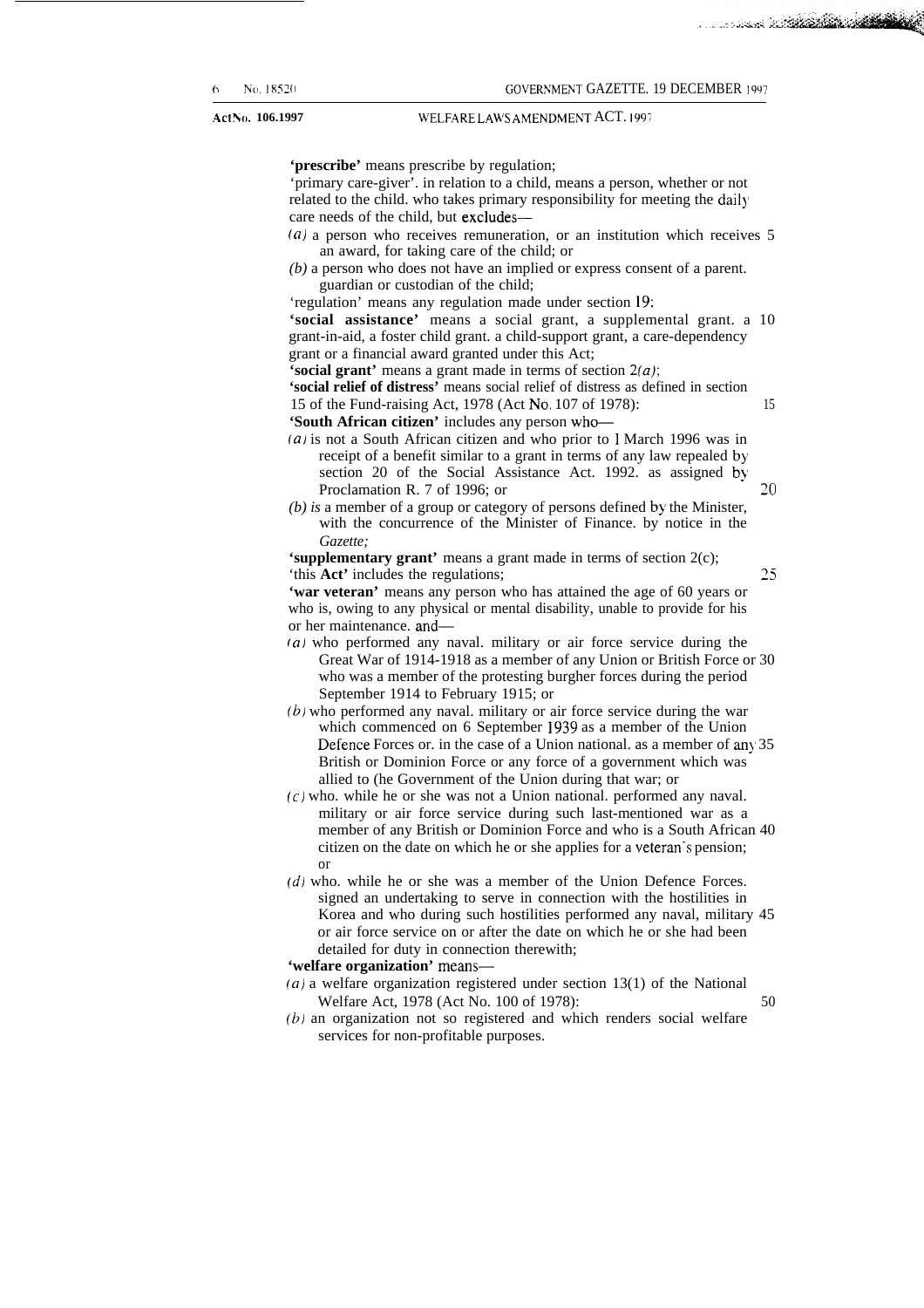<u>a sa sana da tanàna amin'ny fivondronan-</u>

**<sup>6</sup> N(), 18520** GO~ER~MENT GAZETTE. 19 DECEMBER 1997 **Act No. 106.1997 WELFARE LAWS AMENDMENT ACT. 1997** 15 **'prescribe'** means prescribe by regulation; 'primary care-giver'. in relation to a child, means a person, whether or not related to the child. who takes primary responsibility for meeting the daily care needs of the child, but excludes— (a) a person who receives remuneration, or an institution which receives 5 an award, for taking care of the child; or *(b)* a person who does not have an implied or express consent of a parent. guardian or custodian of the child; 'regulation' means any regulation made under section 19: **'social assistance'** means a social grant, a supplemental grant. a 10 grant-in-aid, a foster child grant. a child-support grant, a care-dependency grant or a financial award granted under this Act; **'social grant'** means a grant made in terms of section  $2(a)$ ; **'social relief of distress'** means social relief of distress as defined in section 15 of the Fund-raising Act, 1978 (Act No, 107 of 1978): **'South African citizen'** includes any person who- (a) is not a South African citizen and who prior to 1 March 1996 was in receipt of a benefit similar to a grant in terms of any law repealed by section 20 of the Social Assistance Act. 1992. as assigned by Proclamation R. 7 of 1996; or **20** *(b) is* a member of a group or category of persons defined by the Minister, with the concurrence of the Minister of Finance. by notice in the *Gazette;* **'supplementary grant'** means a grant made in terms of section 2(c); 'this **Act'** includes the regulations; *25* **'war veteran'** means any person who has attained the age of 60 years or who is, owing to any physical or mental disability, unable to provide for his or her maintenance. and— *(a)* who performed any naval. military or air force service during the

- Great War of 1914-1918 as a member of any Union or British Force or 30 who was a member of the protesting burgher forces during the period September 1914 to February 1915; or
- *(b)* who performed any naval. military or air force service during the war which commenced on 6 September 1939 as a member of the Union Defence Forces or. in the case of a Union national. as a member of any 35 British or Dominion Force or any force of a government which was allied to (he Government of the Union during that war; or
- $(c)$  who. while he or she was not a Union national. performed any naval. military or air force service during such last-mentioned war as a member of any British or Dominion Force and who is a South African 40 citizen on the date on which he or she applies for a veteran"s pension; or
- $(d)$  who. while he or she was a member of the Union Defence Forces. signed an undertaking to serve in connection with the hostilities in Korea and who during such hostilities performed any naval, military 45 or air force service on or after the date on which he or she had been detailed for duty in connection therewith;

**'welfare organization'** means—

- (a) a welfare organization registered under section  $13(1)$  of the National Welfare Act, 1978 (Act No. 100 of 1978): 50
- $(b)$  an organization not so registered and which renders social welfare services for non-profitable purposes.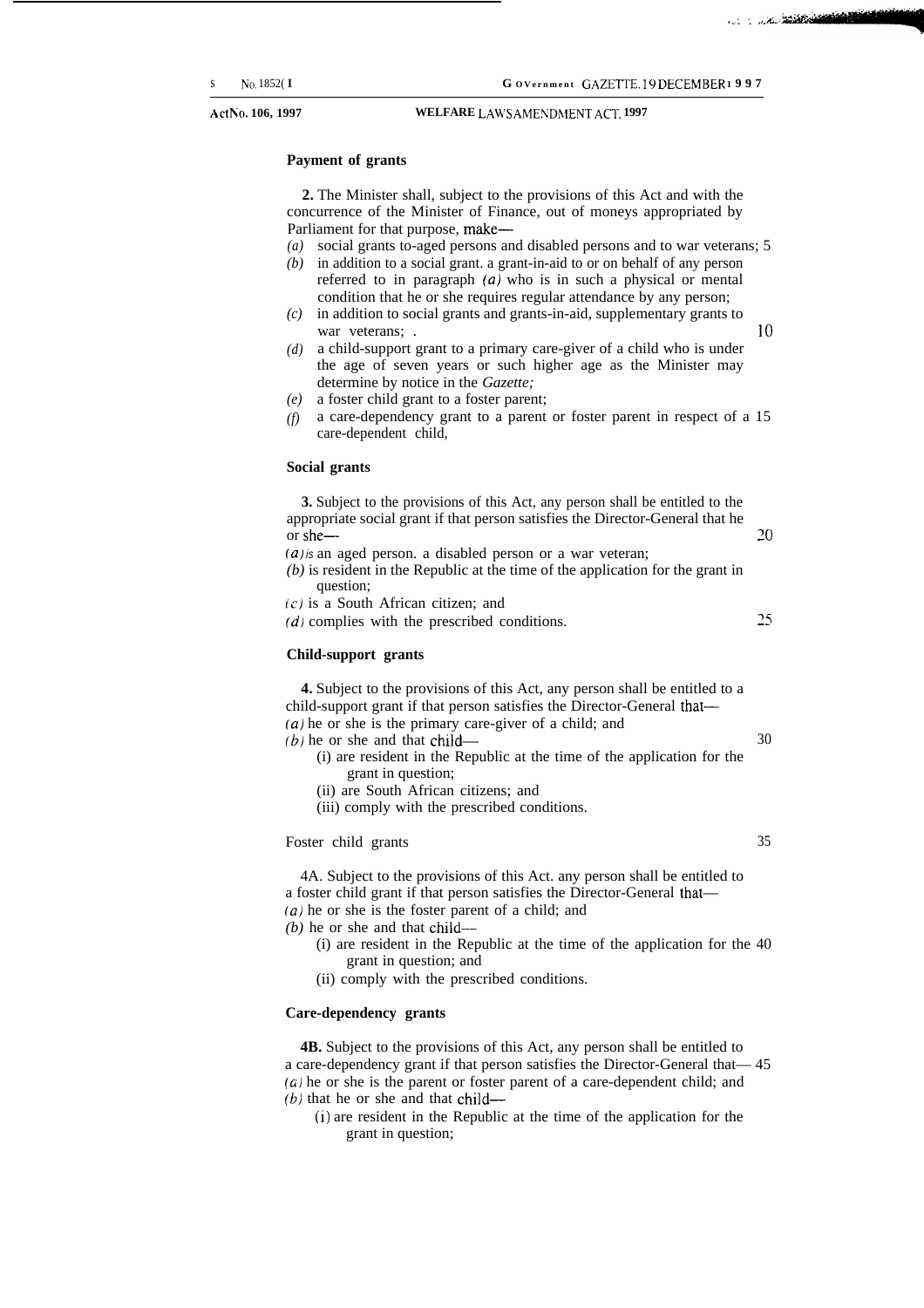**~Ct ~(). 106, 1997 WELFARE LAW'S AMENDNIENT** ACT. **1997**

## **Payment of grants**

**2.** The Minister shall, subject to the provisions of this Act and with the concurrence of the Minister of Finance, out of moneys appropriated by Parliament for that purpose, make—

- *(a)* social grants to-aged persons and disabled persons and to war veterans; 5
- *(b)* in addition to a social grant. a grant-in-aid to or on behalf of any person referred to in paragraph *(a)* who is in such a physical or mental condition that he or she requires regular attendance by any person;
- *(c)* in addition to social grants and grants-in-aid, supplementary grants to war veterans;  $\cdot$  10
- *(d)* a child-support grant to a primary care-giver of a child who is under the age of seven years or such higher age as the Minister may determine by notice in the *Gazette;*
- *(e)* a foster child grant to a foster parent;
- *(f)* a care-dependency grant to a parent or foster parent in respect of a 15 care-dependent child,

#### **Social grants**

**3.** Subject to the provisions of this Act, any person shall be entitled to the appropriate social grant if that person satisfies the Director-General that he or she— **20** *(a) is* an aged person. a disabled person or a war veteran;

- *(b)* is resident in the Republic at the time of the application for the grant in question;
- $(c)$  is a South African citizen; and
- *(d)* complies with the prescribed conditions. 25

#### **Child-support grants**

**4.** Subject to the provisions of this Act, any person shall be entitled to a child-support grant if that person satisfies the Director-General that— *(a)* he or she is the primary care-giver of a child; and

 $(b)$  he or she and that child—  $(30)$ 

- (i) are resident in the Republic at the time of the application for the grant in question;
- (ii) are South African citizens; and
- (iii) comply with the prescribed conditions.

#### Foster child grants 35

4A. Subject to the provisions of this Act. any person shall be entitled to a foster child grant if that person satisfies the Director-General that— *(a)* he or she is the foster parent of a child; and

*(b)* he or she and that child—

- (i) are resident in the Republic at the time of the application for the 40 grant in question; and
- (ii) comply with the prescribed conditions.

#### **Care-dependency grants**

**4B.** Subject to the provisions of this Act, any person shall be entitled to a care-dependency grant if that person satisfies the Director-General that— 45  $(a)$  he or she is the parent or foster parent of a care-dependent child; and  $(b)$  that he or she and that child—

(i) are resident in the Republic at the time of the application for the grant in question;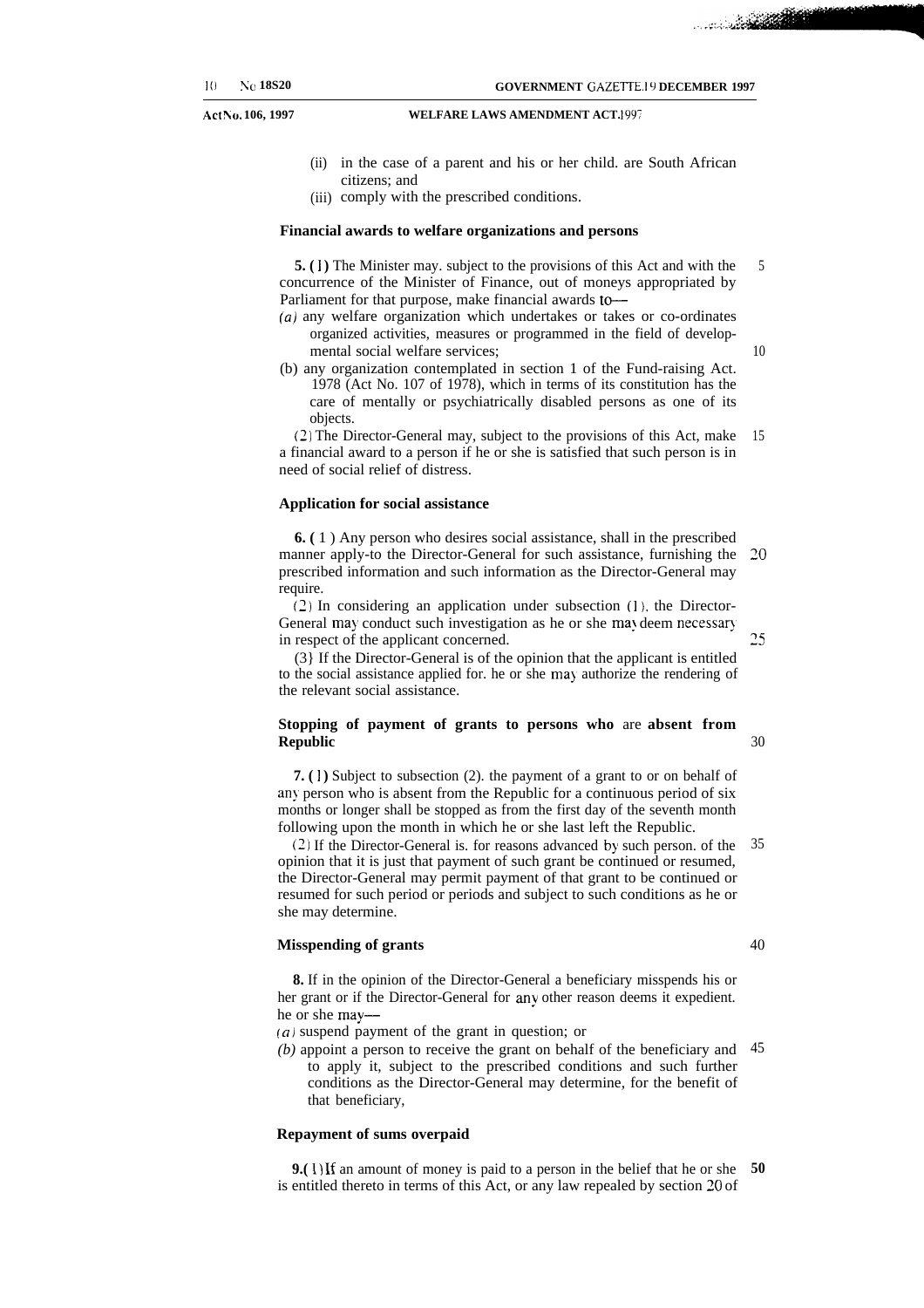**Act No. 106, 1997**

#### **WELFARE LAWS AMENDMENT ACT. 1997**

- (ii) in the case of a parent and his or her child. are South African citizens; and
- (iii) comply with the prescribed conditions.

#### **Financial awards to welfare organizations and persons**

**5.** (1) The Minister may. subject to the provisions of this Act and with the concurrence of the Minister of Finance, out of moneys appropriated by Parliament for that purpose, make financial awards to-5

- *(a)* any welfare organization which undertakes or takes or co-ordinates organized activities, measures or programmed in the field of developmental social welfare services;
- (b) any organization contemplated in section 1 of the Fund-raising Act.

10

25

30

1978 (Act No. 107 of 1978), which in terms of its constitution has the care of mentally or psychiatrically disabled persons as one of its objects.

(2) The Director-General may, subject to the provisions of this Act, make a financial award to a person if he or she is satisfied that such person is in need of social relief of distress. 15

#### **Application for social assistance**

**6. (** 1 ) Any person who desires social assistance, shall in the prescribed manner apply-to the Director-General for such assistance, furnishing the prescribed information and such information as the Director-General may require. **20**

(2) In considering an application under subsection ( 1). the Director-General may conduct such investigation as he or she may deem necessary in respect of the applicant concerned.

(3} If the Director-General is of the opinion that the applicant is entitled to the social assistance applied for. he or she may authorize the rendering of the relevant social assistance.

#### **Stopping of payment of grants to persons who** are **absent from Republic**

**7.** (1) Subject to subsection (2), the payment of a grant to or on behalf of any person who is absent from the Republic for a continuous period of six months or longer shall be stopped as from the first day of the seventh month following upon the month in which he or she last left the Republic.

(2) If the Director-General is. for reasons advanced by such person. of the opinion that it is just that payment of such grant be continued or resumed, the Director-General may permit payment of that grant to be continued or resumed for such period or periods and subject to such conditions as he or she may determine. 35

#### **Misspending of grants**

**8.** If in the opinion of the Director-General a beneficiary misspends his or her grant or if the Director-General for any other reason deems it expedient. he or she may—

- $(a)$  suspend payment of the grant in question; or
- *(b)* appoint a person to receive the grant on behalf of the beneficiary and to apply it, subject to the prescribed conditions and such further conditions as the Director-General may determine, for the benefit of that beneficiary, 45

#### **Repayment of sums overpaid**

**9.( 1)** If an amount of money is paid to a person in the belief that he or she is entitled thereto in terms of this Act, or any law repealed by section 20 of **50**

40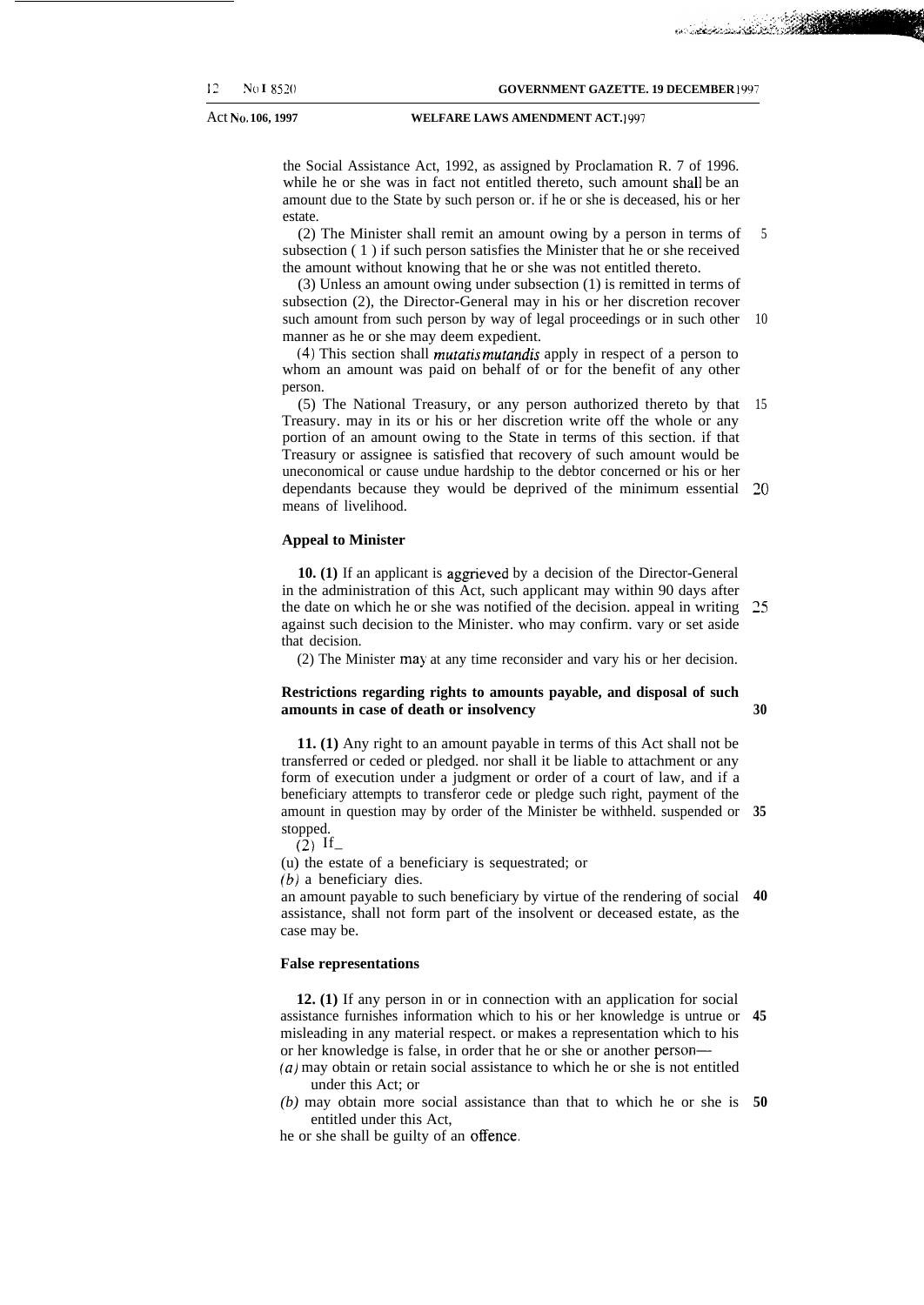فتقاربهما والمستنقط والمضروع والمنادر والماء

#### Act No. 106, 1997<br>WELFARE LAWS AMENDMENT ACT. 1997

the Social Assistance Act, 1992, as assigned by Proclamation R. 7 of 1996. while he or she was in fact not entitled thereto, such amount shall be an amount due to the State by such person or. if he or she is deceased, his or her estate.

(2) The Minister shall remit an amount owing by a person in terms of subsection ( 1 ) if such person satisfies the Minister that he or she received the amount without knowing that he or she was not entitled thereto. 5

(3) Unless an amount owing under subsection (1) is remitted in terms of subsection (2), the Director-General may in his or her discretion recover such amount from such person by way of legal proceedings or in such other 10 manner as he or she may deem expedient.

(4) This section shall *mutatis mutandis* apply in respect of a person to whom an amount was paid on behalf of or for the benefit of any other person.

(5) The National Treasury, or any person authorized thereto by that 15 Treasury. may in its or his or her discretion write off the whole or any portion of an amount owing to the State in terms of this section. if that Treasury or assignee is satisfied that recovery of such amount would be uneconomical or cause undue hardship to the debtor concerned or his or her dependants because they would be deprived of the minimum essential  $20$ means of livelihood.

#### **Appeal to Minister**

**10. (1)** If an applicant is aggrieved by a decision of the Director-General in the administration of this Act, such applicant may within 90 days after the date on which he or she was notified of the decision. appeal in writing against such decision to the Minister. who may confirm. vary or set aside that decision. 25

(2) The Minister may at any time reconsider and vary his or her decision.

#### **Restrictions regarding rights to amounts payable, and disposal of such amounts in case of death or insolvency**

**30**

**11. (1)** Any right to an amount payable in terms of this Act shall not be transferred or ceded or pledged. nor shall it be liable to attachment or any form of execution under a judgment or order of a court of law, and if a beneficiary attempts to transferor cede or pledge such right, payment of the amount in question may by order of the Minister be withheld. suspended or **35** stopped.

 $(2)$  If

(u) the estate of a beneficiary is sequestrated; or *(b)* a beneficiary dies.

an amount payable to such beneficiary by virtue of the rendering of social **40** assistance, shall not form part of the insolvent or deceased estate, as the case may be.

#### **False representations**

**12. (1)** If any person in or in connection with an application for social assistance furnishes information which to his or her knowledge is untrue or **45** misleading in any material respect. or makes a representation which to his or her knowledge is false, in order that he or she or another person— *(a)* may obtain or retain social assistance to which he or she is not entitled

under this Act; or

*(b)* may obtain more social assistance than that to which he or she is **50**entitled under this Act,

he or she shall be guilty of an offence,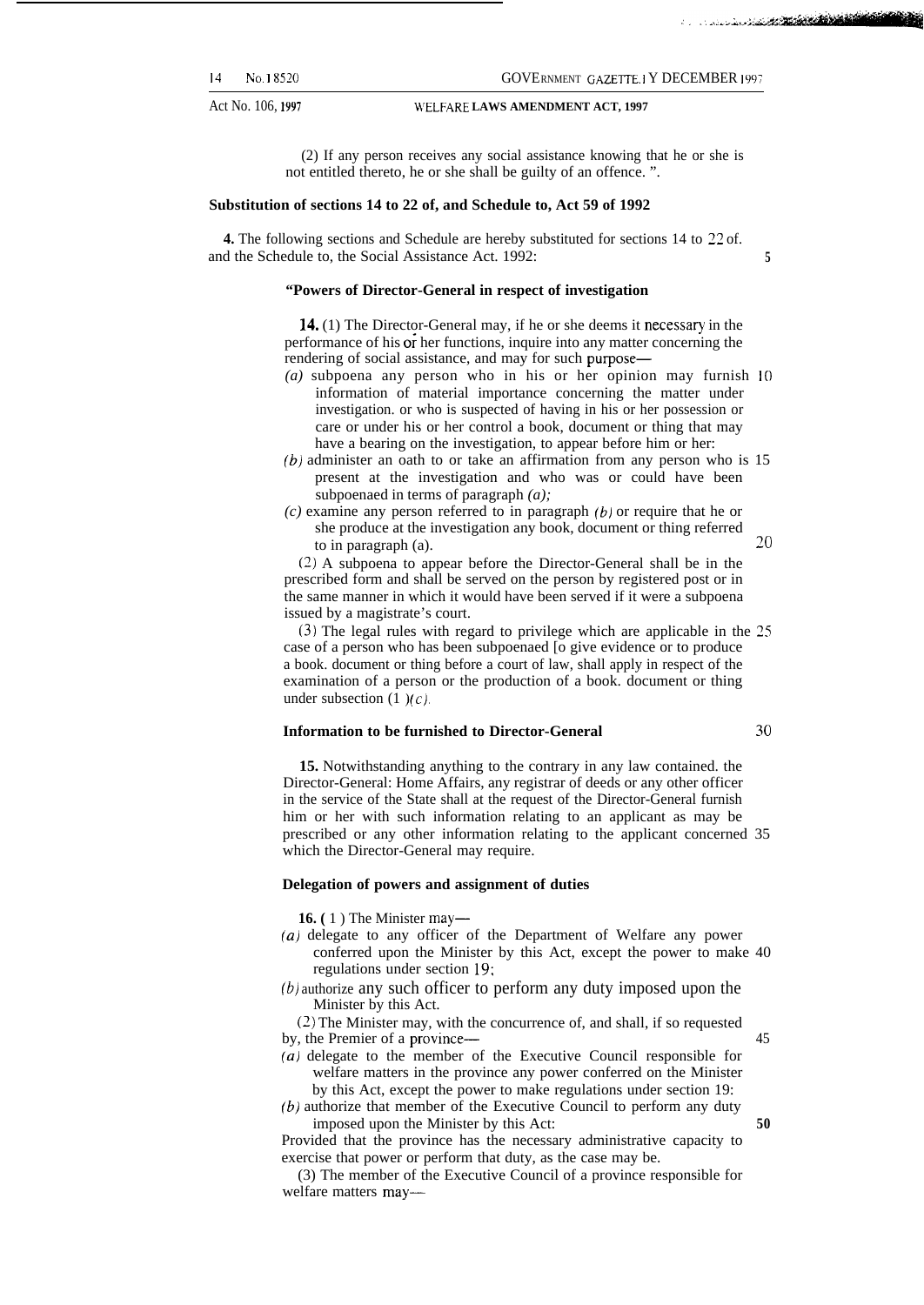Act No. 106, 1997 **VELFARE LAWS AMENDMENT ACT, 1997** 

#### **<sup>14</sup>** No. <sup>I</sup> **8520** GOVERNMENT GAZETTE. 1 Y DECEMBER 199;

(2) If any person receives any social assistance knowing that he or she is

### **Substitution of sections 14 to 22 of, and Schedule to, Act 59 of 1992**

**4.** The following sections and Schedule are hereby substituted for sections 14 to 22 of. and the Schedule to, the Social Assistance Act. 1992: **5**

not entitled thereto, he or she shall be guilty of an offence. ".

#### **"Powers of Director-General in respect of investigation**

14. (1) The Director-General may, if he or she deems it necessary in the performance of his or her functions, inquire into any matter concerning the rendering of social assistance, and may for such purpose—

- *(a)* subpoena any person who in his or her opinion may furnish 10 information of material importance concerning the matter under investigation. or who is suspected of having in his or her possession or care or under his or her control a book, document or thing that may have a bearing on the investigation, to appear before him or her:
- (b) administer an oath to or take an affirmation from any person who is 15 present at the investigation and who was or could have been subpoenaed in terms of paragraph *(a);*
- *(c)* examine any person referred to in paragraph (b) or require that he or she produce at the investigation any book, document or thing referred to in paragraph (a).  $20$

(2) A subpoena to appear before the Director-General shall be in the prescribed form and shall be served on the person by registered post or in the same manner in which it would have been served if it were a subpoena issued by a magistrate's court.

(3) The legal rules with regard to privilege which are applicable in the 25 case of a person who has been subpoenaed [o give evidence or to produce a book. document or thing before a court of law, shall apply in respect of the examination of a person or the production of a book. document or thing under subsection  $(1)$ (c).

#### **Information to be furnished to Director-General** 30

**15.** Notwithstanding anything to the contrary in any law contained. the Director-General: Home Affairs, any registrar of deeds or any other officer in the service of the State shall at the request of the Director-General furnish him or her with such information relating to an applicant as may be prescribed or any other information relating to the applicant concerned 35 which the Director-General may require.

#### **Delegation of powers and assignment of duties**

**16.** (1) The Minister may—

- *(a)* delegate to any officer of the Department of Welfare any power conferred upon the Minister by this Act, except the power to make 40 regulations under section 19:
- (b) authorize any such officer to perform any duty imposed upon the Minister by this Act.

(2) The Minister may, with the concurrence of, and shall, if so requested by, the Premier of a province— 45

- *(a)* delegate to the member of the Executive Council responsible for welfare matters in the province any power conferred on the Minister
- by this Act, except the power to make regulations under section 19:  $(b)$  authorize that member of the Executive Council to perform any duty imposed upon the Minister by this Act: **50**

Provided that the province has the necessary administrative capacity to exercise that power or perform that duty, as the case may be.

(3) The member of the Executive Council of a province responsible for welfare matters may—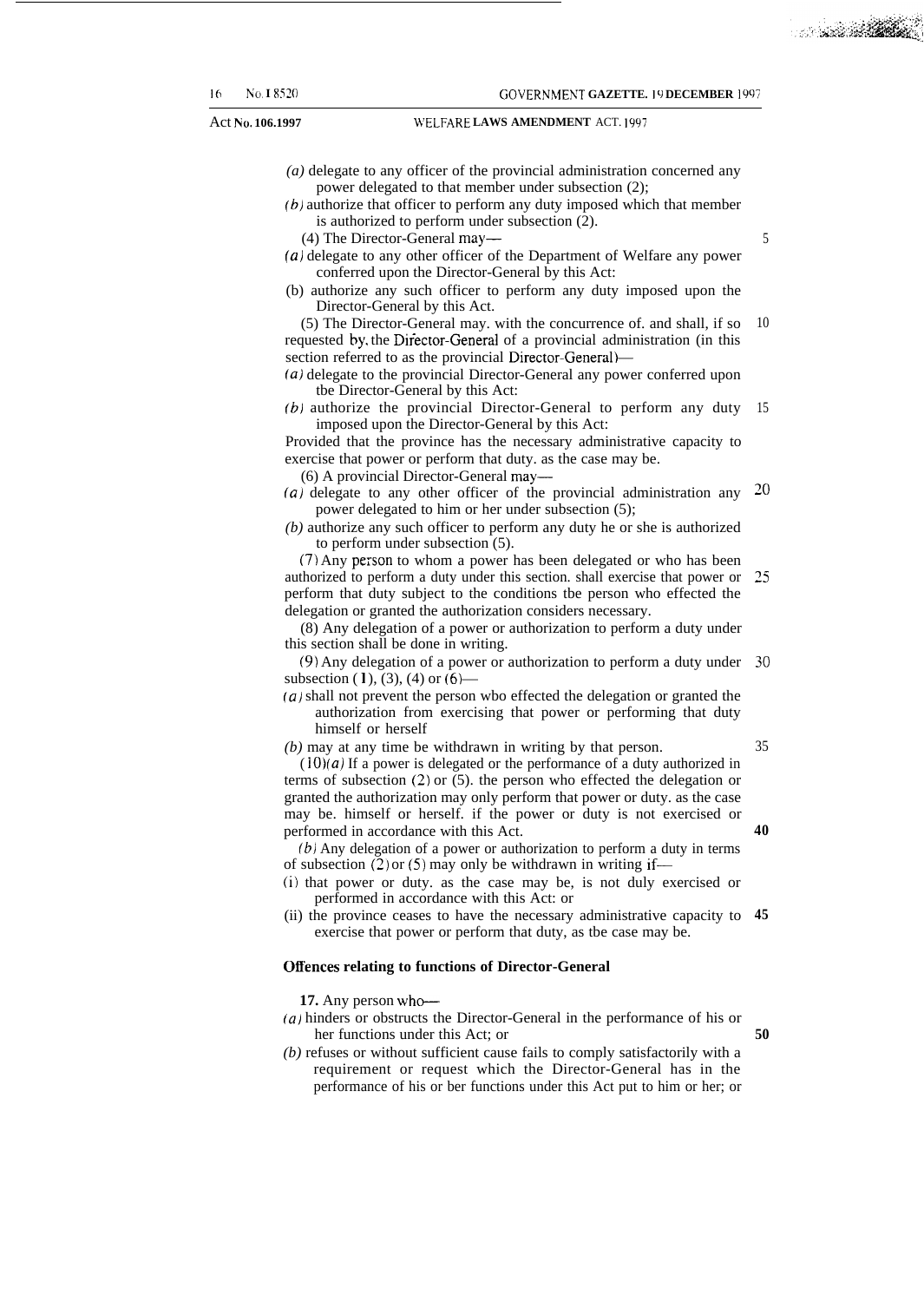Act No. 106.1997 **WELFARE LAWS AMENDMENT** ACT. 1997

- *(a)* delegate to any officer of the provincial administration concerned any power delegated to that member under subsection (2);
- $(b)$  authorize that officer to perform any duty imposed which that member is authorized to perform under subsection (2).
	- (4) The Director-General may—
- (a) delegate to any other officer of the Department of Welfare any power conferred upon the Director-General by this Act:
- (b) authorize any such officer to perform any duty imposed upon the Director-General by this Act.
- (5) The Director-General may. with the concurrence of. and shall, if so requested by, the Director-General of a provincial administration (in this section referred to as the provincial Director-General)— 10
- (a) delegate to the provincial Director-General any power conferred upon tbe Director-General by this Act:
- (b) authorize the provincial Director-General to perform any duty 15 imposed upon the Director-General by this Act:

Provided that the province has the necessary administrative capacity to exercise that power or perform that duty. as the case may be.

(6) A provincial Director-General may—

- (a) delegate to any other officer of the provincial administration any  $20$ power delegated to him or her under subsection (5);
- *(b)* authorize any such officer to perform any duty he or she is authorized to perform under subsection (5).

(7) Any person to whom a power has been delegated or who has been authorized to perform a duty under this section. shall exercise that power or 25 perform that duty subject to the conditions tbe person who effected the delegation or granted the authorization considers necessary.

(8) Any delegation of a power or authorization to perform a duty under this section shall be done in writing.

(9) Any delegation of a power or authorization to perform a duty under **30** subsection (1), (3), (4) or  $(6)$ —

*(a)* shall not prevent the person wbo effected the delegation or granted the authorization from exercising that power or performing that duty himself or herself

*(b)* may at any time be withdrawn in writing by that person.

 $(10)(a)$  If a power is delegated or the performance of a duty authorized in terms of subsection (2) or (5). the person who effected the delegation or granted the authorization may only perform that power or duty. as the case may be. himself or herself. if the power or duty is not exercised or performed in accordance with this Act.

(b) Any delegation of a power or authorization to perform a duty in terms of subsection  $(2)$  or  $(5)$  may only be withdrawn in writing if—

- (i) that power or duty. as the case may be, is not duly exercised or performed in accordance with this Act: or
- (ii) the province ceases to have the necessary administrative capacity to **45** exercise that power or perform that duty, as tbe case may be.

#### **Offences relating to functions of Director-General**

**17.** Any person who-

- *(a)* hinders or obstructs the Director-General in the performance of his or her functions under this Act; or **50**
- *(b)* refuses or without sufficient cause fails to comply satisfactorily with a requirement or request which the Director-General has in the performance of his or ber functions under this Act put to him or her; or

**40**

35

a sa sa **Tan**g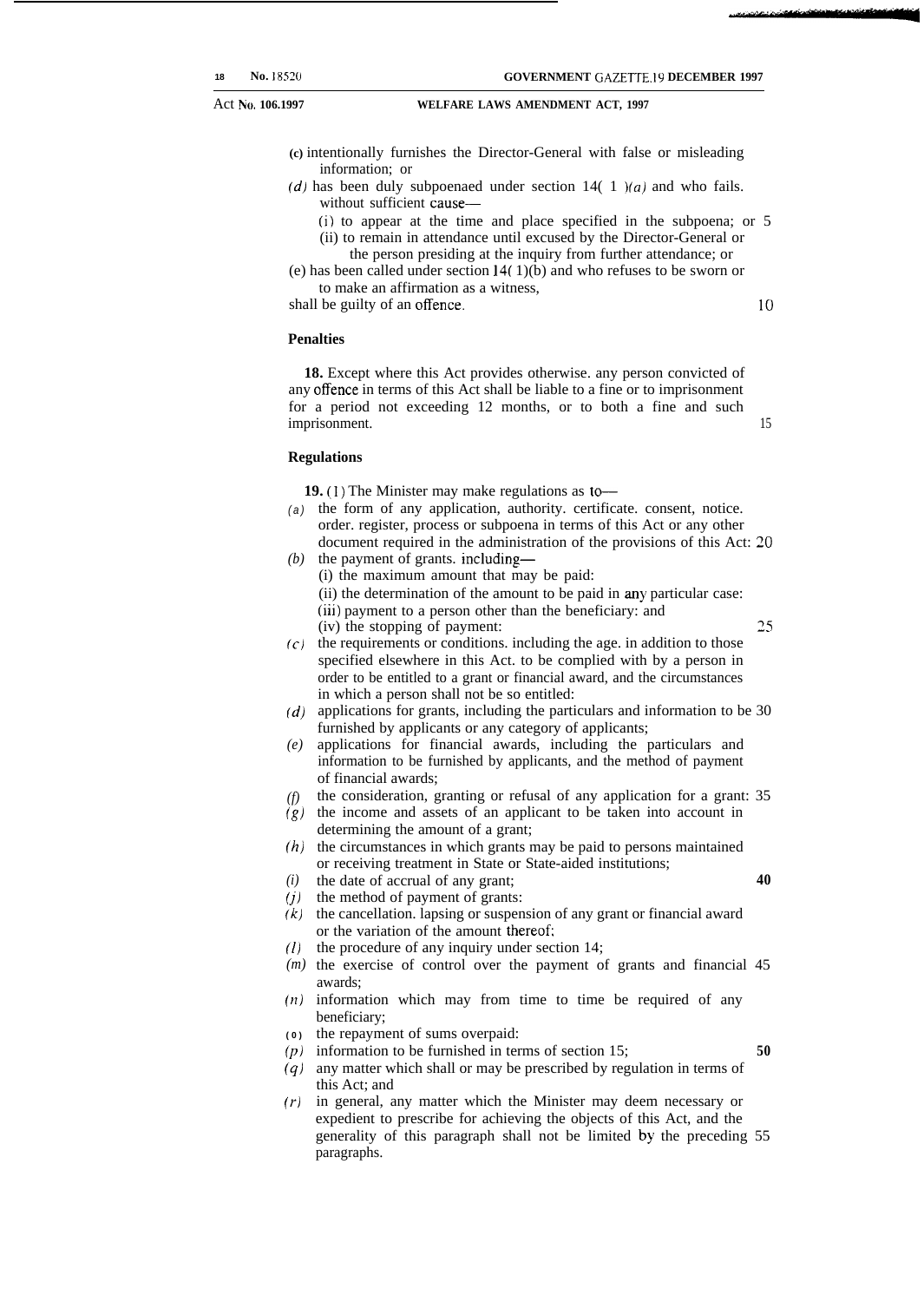Act No. 106.1997 **WELFARE LAWS AMENDMENT ACT, 1997** 

**(c)** intentionally furnishes the Director-General with false or misleading information; or

- (d) has been duly subpoenaed under section  $14(1)$   $(a)$  and who fails. without sufficient cause—
	- (i) to appear at the time and place specified in the subpoena; or 5
	- (ii) to remain in attendance until excused by the Director-General or the person presiding at the inquiry from further attendance; or
- (e) has been called under section 14( 1)(b) and who refuses to be sworn or to make an affirmation as a witness,

shall be guilty of an offence.

10

### **Penalties**

**18.** Except where this Act provides otherwise. any person convicted of any offence in terms of this Act shall be liable to a fine or to imprisonment for a period not exceeding 12 months, or to both a fine and such imprisonment. 15

#### **Regulations**

*(i)*

**19. (I)** The Minister may make regulations as to—

- (a) the form of any application, authority. certificate. consent, notice. order. register, process or subpoena in terms of this Act or any other document required in the administration of the provisions of this Act: 20
- *(b)* the payment of grants. including— (i) the maximum amount that may be paid: (ii) the determination of the amount to be paid in any particular case: (iii) payment to a person other than the beneficiary: and (iv) the stopping of payment: 25
- *(c)* the requirements or conditions. including the age. in addition to those specified elsewhere in this Act. to be complied with by a person in order to be entitled to a grant or financial award, and the circumstances in which a person shall not be so entitled:
- *(d)* applications for grants, including the particulars and information to be 30 furnished by applicants or any category of applicants;
- *(e)* applications for financial awards, including the particulars and information to be furnished by applicants, and the method of payment of financial awards;
- *(f)* the consideration, granting or refusal of any application for a grant: 35
- *(g)* the income and assets of an applicant to be taken into account in determining the amount of a grant;
- *(h)* the circumstances in which grants may be paid to persons maintained or receiving treatment in State or State-aided institutions;
- **40**
- *(j)* the method of payment of grants: the date of accrual of any grant;
- *(k)* the cancellation. lapsing or suspension of any grant or financial award or the variation of the amount thereof;
- *(1)* the procedure of any inquiry under section 14;
- *(m)* the exercise of control over the payment of grants and financial 45 awards;
- $(n)$  information which may from time to time be required of any beneficiary;
- **( 0 )** the repayment of sums overpaid:

(p) information to be furnished in terms of section 15; **50**

- (9) any matter which shall or may be prescribed by regulation in terms of this Act; and
- *(r)* in general, any matter which the Minister may deem necessary or expedient to prescribe for achieving the objects of this Act, and the generality of this paragraph shall not be limited by the preceding 55 paragraphs.
-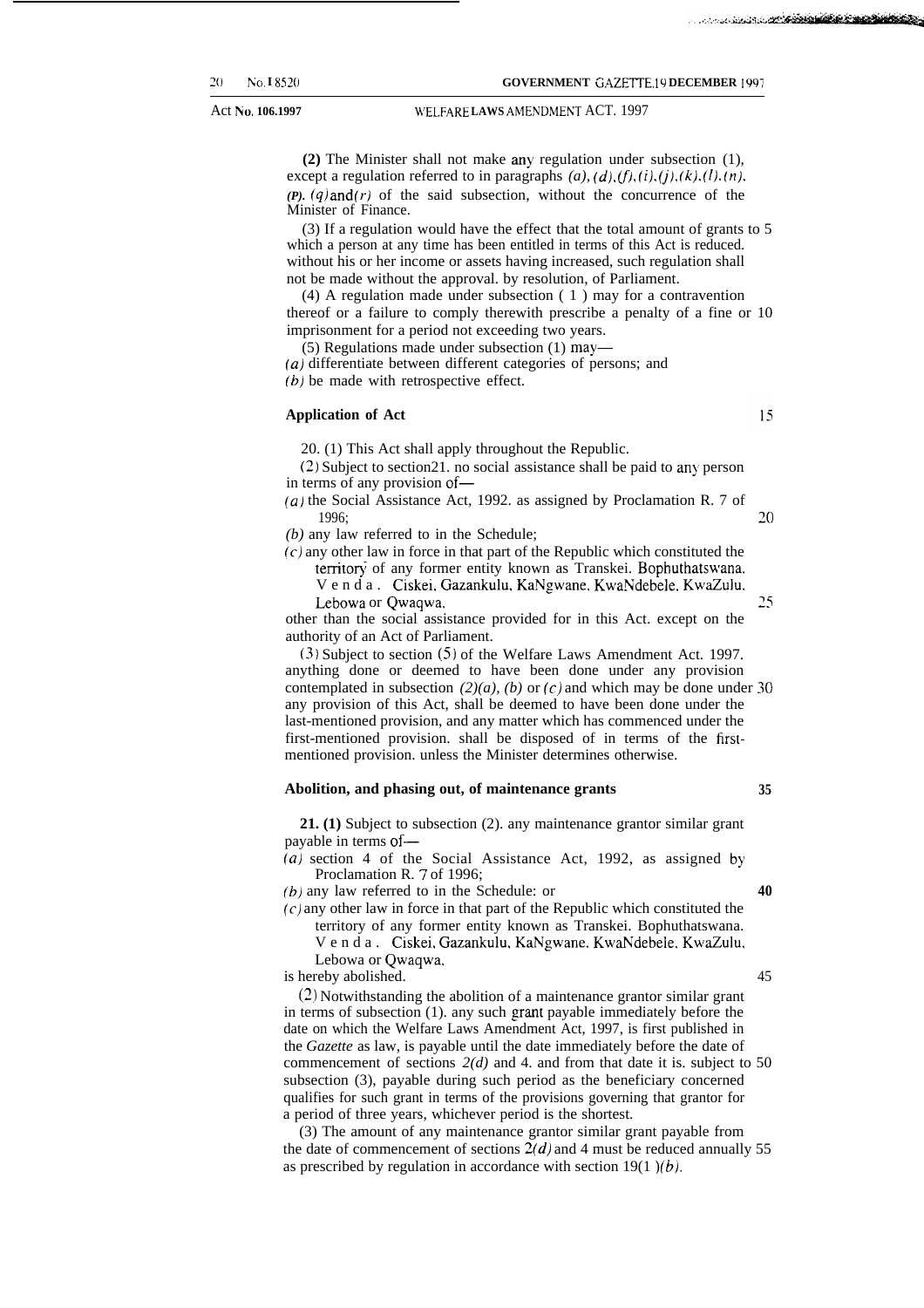Act No. 106.1997 **120.1997 14th WELFARE LAWS AMENDMENT ACT.** 1997

**(2)** The Minister shall not make any regulation under subsection (1), except a regulation referred to in paragraphs  $(a)$ ,  $(d)$ ,  $(f)$ ,  $(i)$ ,  $(j)$ ,  $(k)$ ,  $(l)$ ,  $(n)$ , *(P). (q) and (r)* of the said subsection, without the concurrence of the Minister of Finance.

(3) If a regulation would have the effect that the total amount of grants to 5 which a person at any time has been entitled in terms of this Act is reduced. without his or her income or assets having increased, such regulation shall not be made without the approval. by resolution, of Parliament.

(4) A regulation made under subsection ( 1 ) may for a contravention thereof or a failure to comply therewith prescribe a penalty of a fine or 10 imprisonment for a period not exceeding two years.

(5) Regulations made under subsection (1) may—

(*a*) differentiate between different categories of persons; and (b) be made with retrospective effect.

#### **Application of Act**

20. (1) This Act shall apply throughout the Republic.

 $(2)$  Subject to section 21. no social assistance shall be paid to any person in terms of any provision of—

(a) the Social Assistance Act, 1992. as assigned by Proclamation R. 7 of 1996; **20**

*(b)* any law referred to in the Schedule;

 $(c)$  any other law in force in that part of the Republic which constituted the territory of any former entity known as Transkei. Bophuthatswana.

Venda. Ciskei. Gazankulu, KaNgwane, KwaNdebele. KwaZulu. Lebowa or Qwaqwa. 25

other than the social assistance provided for in this Act. except on the authority of an Act of Parliament.

(3) Subject to section (5) of the Welfare Laws Amendment Act. 1997. anything done or deemed to have been done under any provision contemplated in subsection  $(2)(a)$ ,  $(b)$  or  $(c)$  and which may be done under 30 any provision of this Act, shall be deemed to have been done under the last-mentioned provision, and any matter which has commenced under the first-mentioned provision. shall be disposed of in terms of the firstmentioned provision. unless the Minister determines otherwise.

#### **Abolition, and phasing out, of maintenance grants 35**

**21. (1)** Subject to subsection (2). any maintenance grantor similar grant payable in terms of—

 $(a)$  section 4 of the Social Assistance Act, 1992, as assigned by Proclamation R. 7 of 1996;

*(b)* any law referred to in the Schedule: or **40**

**(c)** any other law in force in that part of the Republic which constituted the territory of any former entity known as Transkei. Bophuthatswana.

Venda. Ciskei, Gazankulu, KaNgwane. KwaNdebele, KwaZulu. Lebowa or Qwaqwa,

is hereby abolished. 45

(2) Notwithstanding the abolition of a maintenance grantor similar grant in terms of subsection (1). any such grant payable immediately before the date on which the Welfare Laws Amendment Act, 1997, is first published in the *Gazette* as law, is payable until the date immediately before the date of commencement of sections *2(d)* and 4. and from that date it is. subject to 50 subsection (3), payable during such period as the beneficiary concerned qualifies for such grant in terms of the provisions governing that grantor for a period of three years, whichever period is the shortest.

(3) The amount of any maintenance grantor similar grant payable from the date of commencement of sections  $2(d)$  and 4 must be reduced annually 55 as prescribed by regulation in accordance with section 19(1) $(b)$ .

15